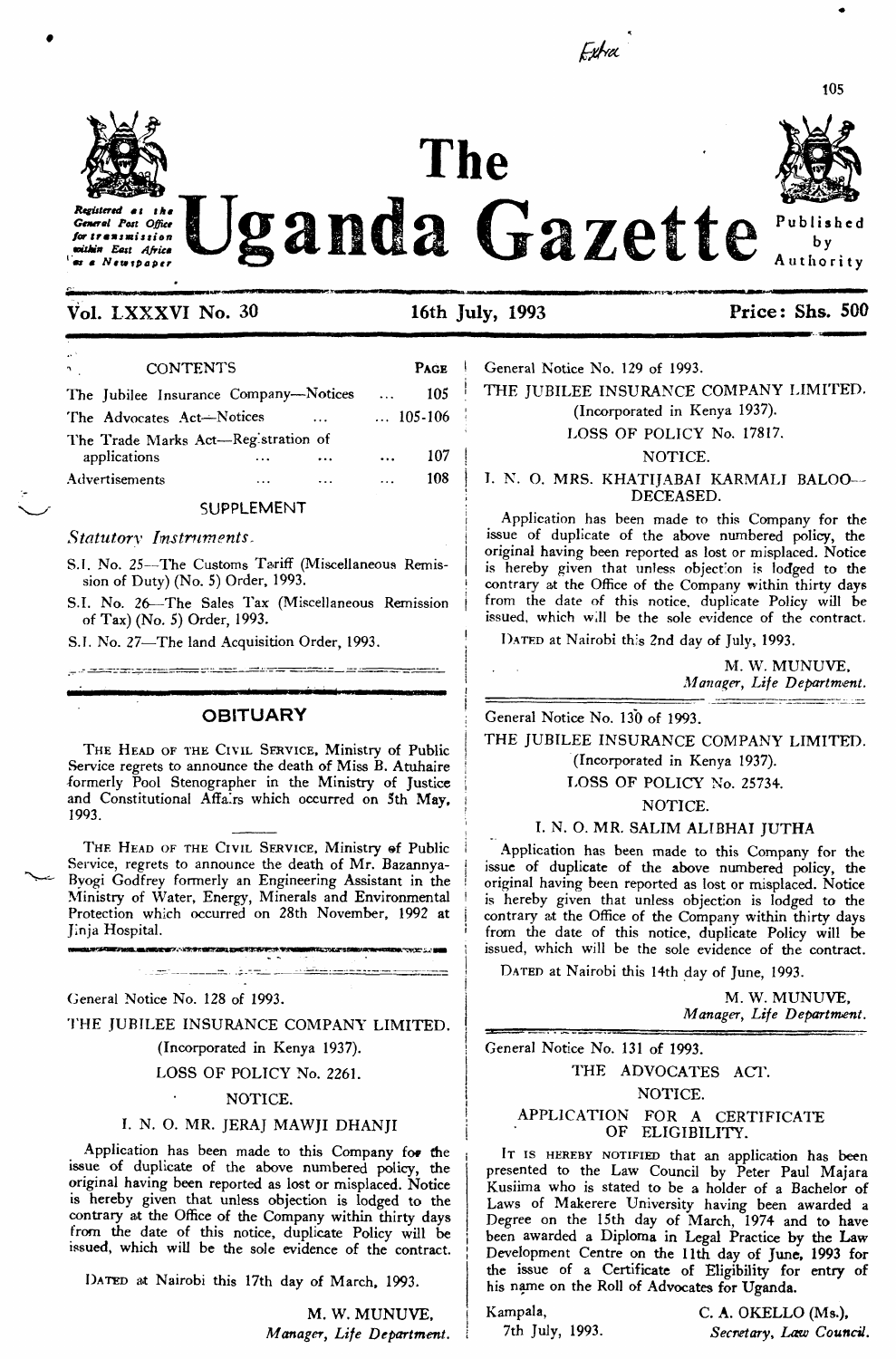

# **Vol. LXXXVI No. 30 16th July, 1993 Price: Shs. 500**

| <b>CONTENTS</b><br>$\mathbf{\hat{z}}$               |          |           | <b>PAGE</b>      |     |  |
|-----------------------------------------------------|----------|-----------|------------------|-----|--|
| The Jubilee Insurance Company-Notices               |          |           | $\cdots$         | 105 |  |
| The Advocates Act-Notices<br>$\ddots$               |          |           | $\ldots$ 105-106 |     |  |
| The Trade Marks Act-Reg stration of<br>applications |          | $\ddotsc$ | $\cdots$         | 107 |  |
| Advertisements                                      | $\cdots$ |           | $\cdots$         | 108 |  |

# **SUPPLEMENT**

#### *Statutory Instruments.*

S.I. No. 25-The Customs Tariff (Miscellaneous Remission of Duty) (No. 5) Order, 1993.

S.I. No. 26—The Sales Tax (Miscellaneous Remission of Tax) (No. 5) Order, 1993.

S.I. No. 27-The land Acquisition Order, 1993.

#### **OBITUARY**

<u>s desporçamentos publiciais de anticipus este arqu</u>

THE HEAD OF THE CIVIL SERVICE, Ministry of Public Service regrets to announce the death of Miss B. Atuhaire formerly Pool Stenographer in the Ministry of Justice and Constitutional Affairs which occurred on 5th May, 1993. 1993. :

THE HEAD OF THE CIVIL SERVICE, Ministry of Public Service, regrets to announce the death of Mr. Bazannya-Byogi Godfrey formerly an Engineering Assistant in the Ministry of Water, Energy, Minerals and Environmental Protection which occurred on 28th November, 1992 at Jinja Hospital. <sup>i</sup>

ミンバンス きにせいこうかい せいこうしき

General Notice No. 128 of 1993.

THE JUBILEE INSURANCE COMPANY LIMITED.

<u> 1960 - Jacob Jacob, m<del>iliki astronom (</del> 1960)</u>

(Incorporated in Kenya 1937).

LOSS OF POLICY No. 2261.

#### NOTICE.

#### I. N. O. MR. JERAJ MAWJI DHANJI

Application has been made to this Company for the issue of duplicate of the above numbered policy, the original having been reported as lost or misplaced. Notice is hereby given that unless objection is lodged to the contrary at the Office of the Company within thirty days from the date of this notice, duplicate Policy will be issued, which will be the sole evidence of the contract.

DATED at Nairobi this 17th day of March, 1993.

**M. W. MUNUVE,** *Manager, Life Department.* **<sup>Í</sup>** General Notice No. 129 of 1993.

Extra

THE JUBILEE INSURANCE COMPANY LIMITED.

(Incorporated in Kenya 1937).

LOSS OF POLICY No. 17817.

#### NOTICE.

#### T. N. O. MRS. KHATIJABAI KARMALI BALOO— DECEASED.

Application has been made to this Company for the issue of duplicate of the above numbered policy, the original having been reported as lost or misplaced. Notice is hereby given that unless objection is lodged to the contrary at the Office of the Company within thirty days from the date of this notice, duplicate Policy will be issued, which will be the sole evidence of the contract.

DATED at Nairobi this 2nd day of July, 1993.

M. W. MUNUVE, *Manager, Life Department.* 

General Notice No. 130 of 1993.

THE JUBILEE INSURANCE COMPANY LIMITED. (Incorporated in Kenya 1937).

# LOSS OF POLICY No. 2573+.

NOTICE.

#### I. N. O. MR. SALIM ALIBHAI JUTHA

Application has been made to this Company for the issue of duplicate of the above numbered policy, the original having been reported as lost or misplaced. Notice is hereby given that unless objection is lodged to the contrary at the Office of the Company within thirty days from the date of this notice, duplicate Policy will be issued, which will be the sole evidence of the contract.

DATED at Nairobi this 14th day of June, 1993.

M. W. MUNUVE, *Manager, Life Department.*

General Notice No. 131 of 1993.

# THE ADVOCATES ACT. NOTICE.

#### APPLICATION FOR A CERTIFICATE OF ELIGIBILITY.

IT IS HEREBY NOTIFIED that an application has been presented to the Law Council by Peter Paul Majara Kusiima who is stated to be a holder of a Bachelor of Laws of Makerere University having been awarded a Degree on the 15th day of March, 1974 and to have been awarded a Diploma in Legal Practice by the Law Development Centre on the 11th day of June, 1993 for the issue of a Certificate of Eligibility for entry of his name on the Roll of Advocates for Uganda.

Kampala, C. A. OKELLO (Ms.), 7th July, 1993. *Secretary<sup>&</sup>gt; Law Council.*



by Authority



*Registered tt the General Pott Office forUtninistion within East Africa* **<sup>1</sup> \*x «** *New ipaper*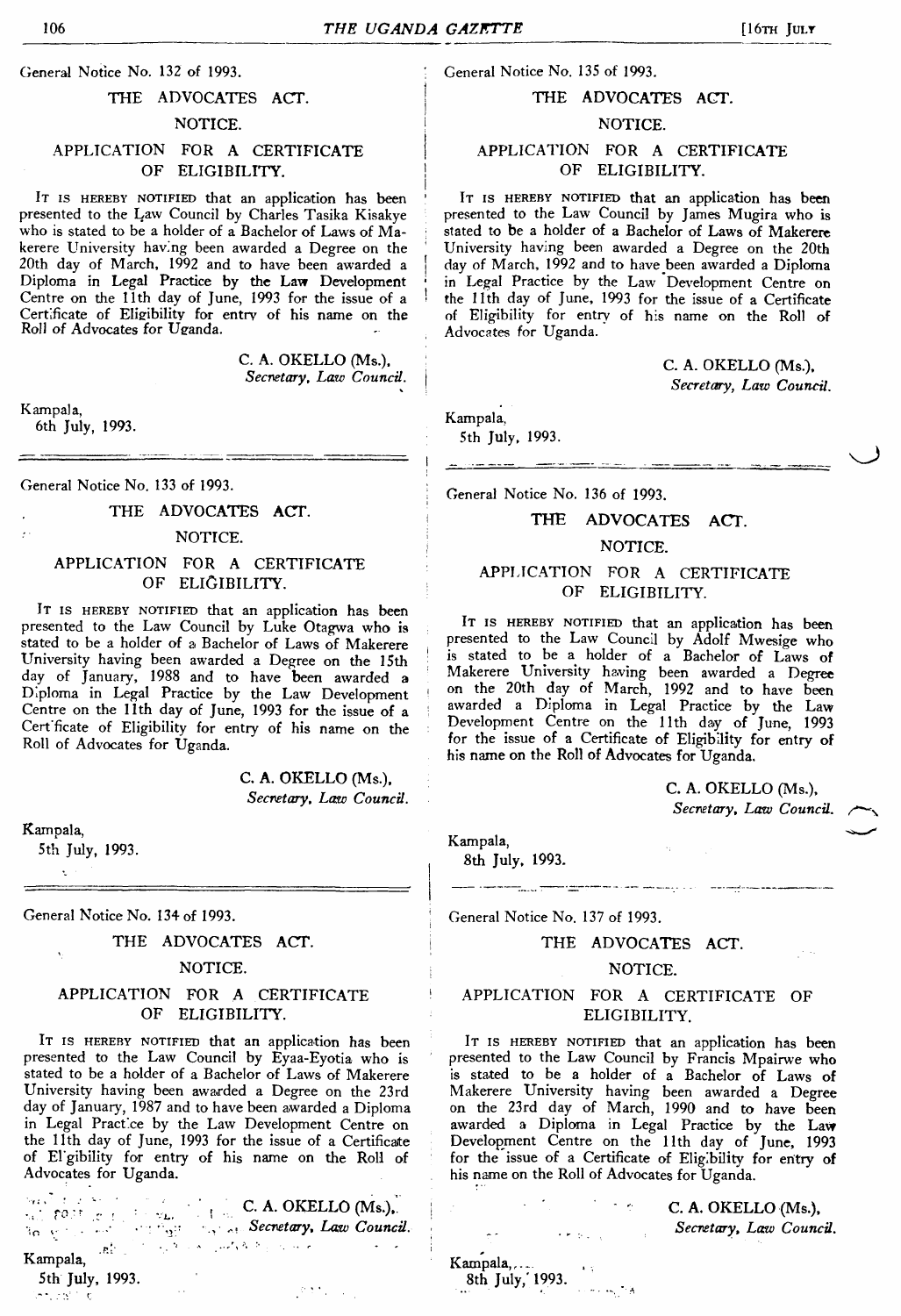General Notice No. 132 of 1993.

#### THE ADVOCATES ACT.

## NOTICE.

# APPLICATION FOR A CERTIFICATE OF ELIGIBILITY.

IT IS HEREBY NOTIFIED that an application has been presented to the Law Council by Charles Tasika Kisakye who is stated to be a holder of a Bachelor of Laws of Makerere University having been awarded a Degree on the 20th day of March, 1992 and to have been awarded a Diploma in Legal Practice by the Law Development Centre on the 11th day of June, 1993 for the issue of a Certificate of Eligibility for entry of his name on the Roll of Advocates for Uganda.

> C. A. OKELLO (Ms.), *Secretary, Law Council.*

Kampala, 6th July, 1993.

General Notice No. 133 of 1993.

#### THE ADVOCATES ACT.

#### NOTICE.

#### APPLICATION FOR A CERTIFICATE OF ELIGIBILITY.

IT IS HEREBY NOTIFIED that an application has been presented to the Law Council by Luke Otagwa who is stated to be a holder of a Bachelor of Laws of Makerere University having been awarded a Degree on the 15th day of January, 1988 and to have been awarded a Diploma in Legal Practice by the Law Development Centre on the 11th day of June, 1993 for the issue of a Cert ficate of Eligibility for entry of his name on the Roll of Advocates for Uganda.

> C. A. OKELLO (Ms.), *Secretary, Lazo Council.*

Kampala,

5th July, 1993.

General Notice No. 134 of 1993.

THE ADVOCATES ACT.

NOTICE.

## APPLICATION FOR A CERTIFICATE OF ELIGIBILITY.

IT IS HEREBY NOTIFIED that an application has been presented to the Law Council by Eyaa-Eyotia who is stated to be a holder of a Bachelor of Laws of Makerere University having been awarded a Degree on the 23rd day of January, 1987 and to have been awarded a Diploma in Legal Practice by the Law Development Centre on the 11th day of June, 1993 for the issue of a Certificate of El'gibility for entry of his name on the Roll of Advocates for Uganda.

 $\begin{array}{ccc} \mathbb{P}_{\text{max}} & \mathbb{P}_{\text{max}} & \mathbb{P}_{\text{max}} & \mathbb{P}_{\text{max}} & \mathbb{P}_{\text{max}} & \mathbb{P}_{\text{max}} & \mathbb{P}_{\text{max}} & \mathbb{P}_{\text{max}} & \mathbb{P}_{\text{max}} & \mathbb{P}_{\text{max}} & \mathbb{P}_{\text{max}} & \mathbb{P}_{\text{max}} & \mathbb{P}_{\text{max}} & \mathbb{P}_{\text{max}} & \mathbb{P}_{\text{max}} & \mathbb{P}_{\text{max}} & \mathbb{P}_{\text{max}} & \mathbb{P}_{\text{$ **v • •.,• z.?** *Secretary, Law Council.* Kampala,

5th July, 1993.

General Notice No. 135 of 1993.

## THE ADVOCATES ACT.

## ' NOTICE.

# <sup>|</sup> APPLICATION FOR A CERTIFICATE OF ELIGIBILITY.

IT IS HEREBY NOTIFIED that an application has been presented to the Law Council by James Mugira who is stated to be a holder of a Bachelor of Laws of Makerere University having been awarded a Degree on the 20th day of March, 1992 and to have been awarded a Diploma \* in Legal Practice by the Law Development Centre on • the 11th day of June, 1993 for the issue of a Certificate of Eligibility for entry of his name on the Roll of Advocates for Uganda.

> C. A. OKELLO (Ms.), <sup>I</sup> *Secretary, Law Council.*

Kampala, 5th July, 1993.

General Notice No. 136 of 1993.

#### **THE ADVOCATES ACT.**

#### NOTICE.

# APPLICATION FOR A CERTIFICATE OF ELIGIBILITY.

IT IS HEREBY NOTIFIED that an application has been presented to the Law Council by Adolf Mwesige who is stated to be a holder of a Bachelor of Laws of Makerere University having been awarded a Degree on the 20th day of March, 1992 and to have been awarded a Diploma in Legal Practice by the Law Development Centre on the 11th day of June, 1993 for the issue of a Certificate of Eligibility for entry of his name on the Roll of Advocates for Uganda.

> C. A. OKELLO (Ms.), *Secretary, Law Council, s^x*

Kampala,

Kampala,... 8th July,' 1993.

8th July, 1993.

General Notice No. 137 of 1993.

<u> 2007 - John Amerikaanse kalendis</u>

#### THE ADVOCATES ACT.

#### NOTICE.

## APPLICATION FOR A CERTIFICATE OF ELIGIBILITY.

IT IS HEREBY NOTIFIED that an application has been presented to the Law Council by Francis Mpairwe who is stated to be a holder of a Bachelor of Laws of Makerere University having been awarded a Degree on the 23rd day of March, 1990 and to have been awarded a Diploma in Legal Practice by the Law Development Centre on the 11th day of June, 1993 for the issue of a Certificate of Eligibility for entry of his name on the Roll of Advocates for Uganda.

> C. A. OKELLO (Ms.), *Secretary, Lazo Council.*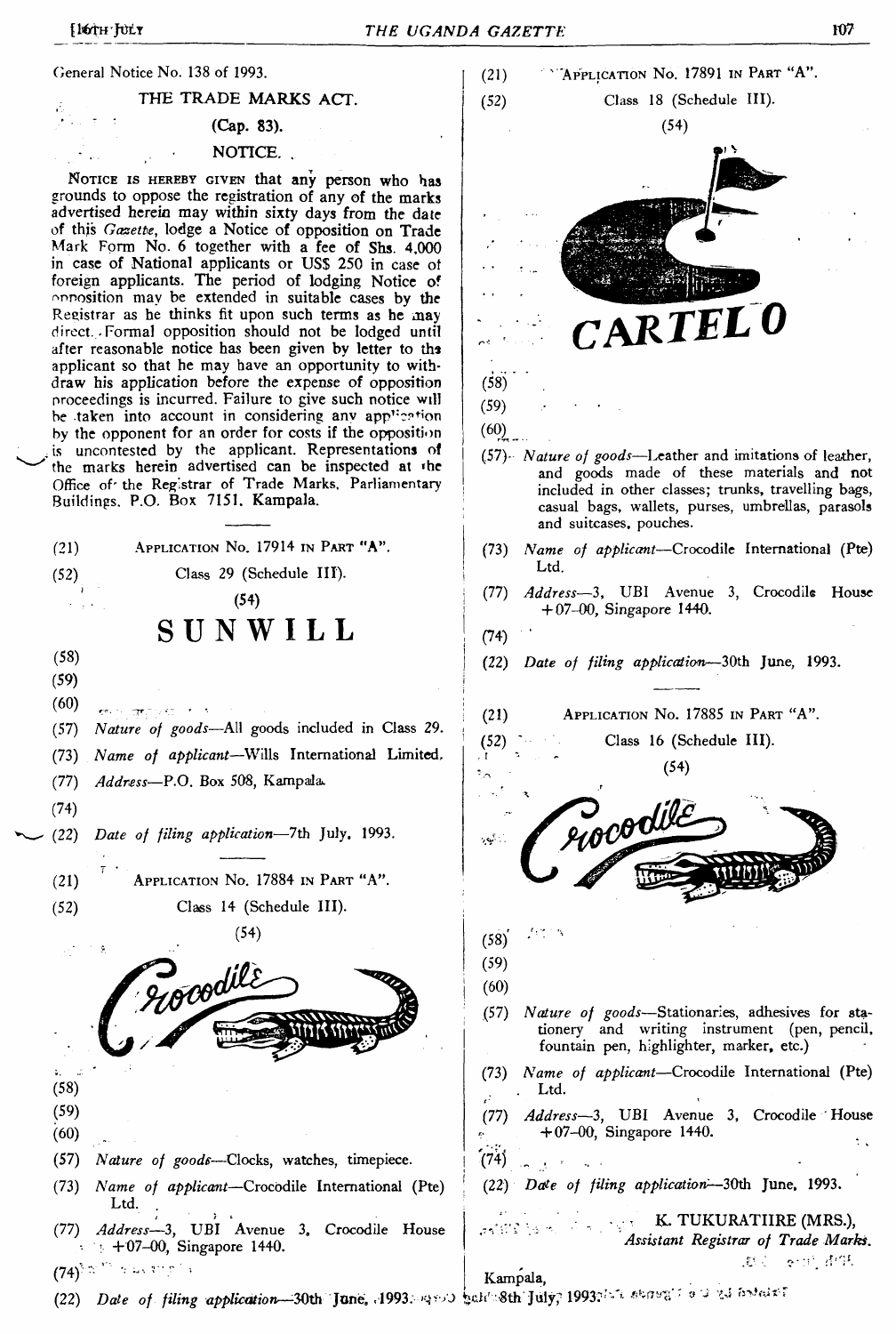**(Jenera) Notice No. 138 of 1993.**

**THE TRADE MARKS ACT.**

**■ ' (Cap. 83).**

# **NOTICE. .**

Notice is hereby given **that any person who has grounds to oppose the registration of any of the marks advertised herein may within sixty days from the date of this** *Gazette,* **lodge a Notice of opposition on Trade Mark Form No. 6 together with a fee of Shs. 4,000 in case of National applicants or USS 250 in case of foreign applicants. The period of lodging Notice of reposition may be extended in suitable cases by the Registrar as he thinks fit upon such terms as he may direct. .Formal opposition should not be lodged until after reasonable notice has been given by letter to ths applicant so that he may have an opportunity to withdraw his application before the expense of opposition proceedings is incurred. Failure to give such notice will be taken into account in considering any appi:??f'on by the opponent for an order for costs if the opposition is uncontested by the applicant. Representations of the marks herein advertised can be inspected at <he Office of' the Registrar of Trade Marks, Parliamentary Buildings. P.O. Box 7151. Kampala.**

**(21)** Application No. **17914** in Part **"A". (52) Class 29 (Schedule III). (54) SUNWILL (58) (59) (60) " ... . . (57)** *Nature of goods—***All goods included in Class 29. (73)** *Name of applicant—***Wills International Limited, (77)** *Address—***P.O. Box 508, Kampala». (74) (22)** *Date of filing application—***7th July, 1993. (21)** Application N<sup>o</sup>. **17884** in Part **"A". (52) Class 14 (Schedule III). (54)** Aocodile **(58) (59) (60) (57)** *Nature of goods***—Clocks, watches, timepiece. (73)** *Name of applicant—***Crocodile International (Pte) Ltd. . (77)** *Address—***3, UBI Avenue 3, Crocodile House • 4-07-00, Singapore 1440. (74)^'**  $(22)$  *Date of filing application*—30th June. **1993.** And substantively, 1993? In a search  $\frac{1}{2}$  is a set one.



**Kampala,**